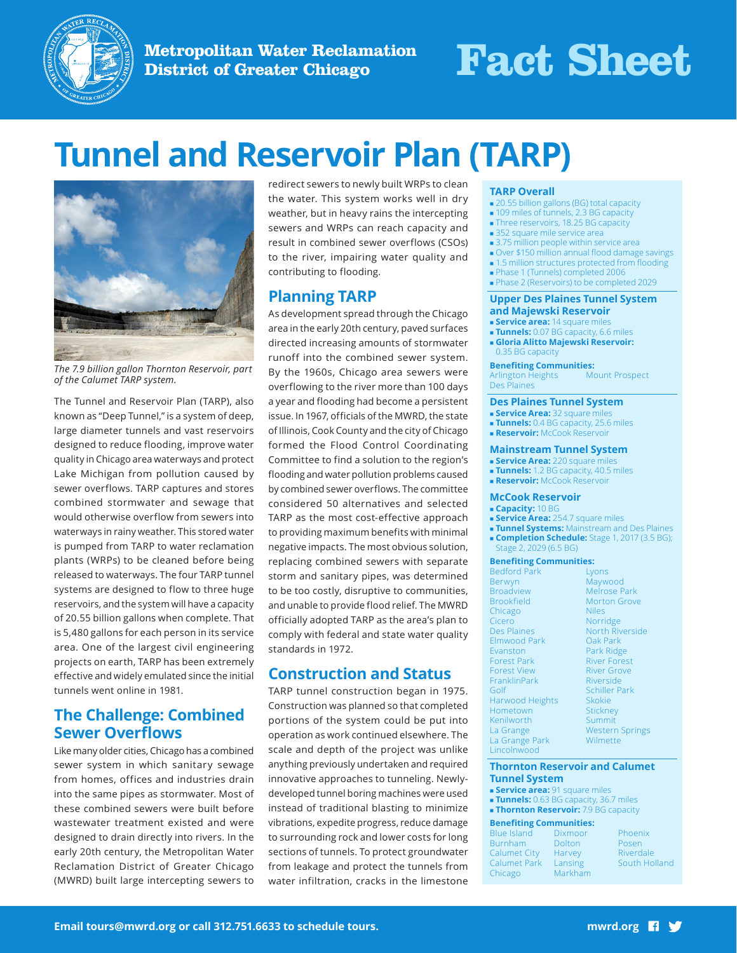

**Metropolitan Water Reclamation District of Greater Chicago Fact Sheet**

# **Tunnel and Reservoir Plan (TARP)**



*The 7.9 billion gallon Thornton Reservoir, part of the Calumet TARP system.*

The Tunnel and Reservoir Plan (TARP), also known as "Deep Tunnel," is a system of deep, large diameter tunnels and vast reservoirs designed to reduce flooding, improve water quality in Chicago area waterways and protect Lake Michigan from pollution caused by sewer overflows. TARP captures and stores combined stormwater and sewage that would otherwise overflow from sewers into waterways in rainy weather. This stored water is pumped from TARP to water reclamation plants (WRPs) to be cleaned before being released to waterways. The four TARP tunnel systems are designed to flow to three huge reservoirs, and the system will have a capacity of 20.55 billion gallons when complete. That is 5,480 gallons for each person in its service area. One of the largest civil engineering projects on earth, TARP has been extremely effective and widely emulated since the initial tunnels went online in 1981.

## **The Challenge: Combined Sewer Overflows**

Like many older cities, Chicago has a combined sewer system in which sanitary sewage from homes, offices and industries drain into the same pipes as stormwater. Most of these combined sewers were built before wastewater treatment existed and were designed to drain directly into rivers. In the early 20th century, the Metropolitan Water Reclamation District of Greater Chicago (MWRD) built large intercepting sewers to redirect sewers to newly built WRPs to clean the water. This system works well in dry weather, but in heavy rains the intercepting sewers and WRPs can reach capacity and result in combined sewer overflows (CSOs) to the river, impairing water quality and contributing to flooding.

## **Planning TARP**

As development spread through the Chicago area in the early 20th century, paved surfaces directed increasing amounts of stormwater runoff into the combined sewer system. By the 1960s, Chicago area sewers were overflowing to the river more than 100 days a year and flooding had become a persistent issue. In 1967, officials of the MWRD, the state of Illinois, Cook County and the city of Chicago formed the Flood Control Coordinating Committee to find a solution to the region's flooding and water pollution problems caused by combined sewer overflows. The committee considered 50 alternatives and selected TARP as the most cost-effective approach to providing maximum benefits with minimal negative impacts. The most obvious solution, replacing combined sewers with separate storm and sanitary pipes, was determined to be too costly, disruptive to communities, and unable to provide flood relief. The MWRD officially adopted TARP as the area's plan to comply with federal and state water quality standards in 1972.

## **Construction and Status**

TARP tunnel construction began in 1975. Construction was planned so that completed portions of the system could be put into operation as work continued elsewhere. The scale and depth of the project was unlike anything previously undertaken and required innovative approaches to tunneling. Newlydeveloped tunnel boring machines were used instead of traditional blasting to minimize vibrations, expedite progress, reduce damage to surrounding rock and lower costs for long sections of tunnels. To protect groundwater from leakage and protect the tunnels from water infiltration, cracks in the limestone

### **TARP Overall**

- 20.55 billion gallons (BG) total capacity
- 109 miles of tunnels, 2.3 BG capacity
- **Three reservoirs, 18.25 BG capacity**
- **352 square mile service area**
- 3.75 million people within service area
- Over \$150 million annual flood damage savings
- 1.5 million structures protected from flooding
- Phase 1 (Tunnels) completed 2006
- Phase 2 (Reservoirs) to be completed 2029

#### **Upper Des Plaines Tunnel System and Majewski Reservoir**

- **service area:** 14 square mile
- **Tunnels:** 0.07 BG capacity, 6.6 miles
- **Gloria Alitto Majewski Reservoir:** 0.35 BG capacity

#### **Benefiting Communities:**

Arlington Heights Des Plaines Mount Prospect

#### **Des Plaines Tunnel System**

- **service Area:** 32 square mile
- **Tunnels:** 0.4 BG capacity, 25.6 miles
- **Reservoir:** McCook Reservoir

#### **Mainstream Tunnel System**

- **Service Area:** 220 square mi
- **Tunnels:** 1.2 BG capacity, 40.5 miles
- **Reservoir:** McCook Reservoir

#### **McCook Reservoir**

- **Capacity:** 10 BG
- **Service Area:** 254.7 square miles
- **Tunnel Systems:** Mainstream and Des Plaines
- **Completion Schedule:** Stage 1, 2017 (3.5 BG); Stage 2, 2029 (6.5 BG)

#### **Benefiting Communities:**

Bedford Park Berwyn Broadview Brookfield Chicago Cicero Des Plaines Elmwood Park Evanston Forest Park Forest View FranklinPark Golf Harwood Heights Hometown Kenilworth La Grange La Grange Park Lincolnwood

Lyons Maywood Melrose Park Morton Grove Niles Norridge North Riverside Oak Park Park Ridge River Forest River Grove **Riverside** Schiller Park **Skokie Stickney** Summit Western Springs Wilmette

#### **Thornton Reservoir and Calumet Tunnel System**

- **service area:** 91 square miles
- **Tunnels:** 0.63 BG capacity, 36.7 miles
- **Thornton Reservoir:** 7.9 BG capacity

#### **Benefiting Communities:**

Blue Island Burnham Calumet City Calumet Park Chicago Dixmoor **Dolton** Harvey Lansing Markham Phoenix Posen Riverdale South Holland